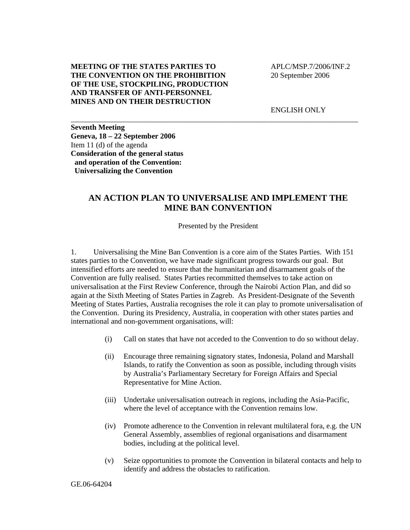## **MEETING OF THE STATES PARTIES TO THE CONVENTION ON THE PROHIBITION OF THE USE, STOCKPILING, PRODUCTION AND TRANSFER OF ANTI-PERSONNEL MINES AND ON THEIR DESTRUCTION**

 APLC/MSP.7/2006/INF.2 20 September 2006

ENGLISH ONLY

**Seventh Meeting Geneva, 18 – 22 September 2006**  Item 11 (d) of the agenda **Consideration of the general status and operation of the Convention: Universalizing the Convention** 

## **AN ACTION PLAN TO UNIVERSALISE AND IMPLEMENT THE MINE BAN CONVENTION**

\_\_\_\_\_\_\_\_\_\_\_\_\_\_\_\_\_\_\_\_\_\_\_\_\_\_\_\_\_\_\_\_\_\_\_\_\_\_\_\_\_\_\_\_\_\_\_\_\_\_\_\_\_\_\_\_\_\_\_\_\_\_\_\_\_\_\_\_\_\_\_\_\_\_\_\_

Presented by the President

1. Universalising the Mine Ban Convention is a core aim of the States Parties. With 151 states parties to the Convention, we have made significant progress towards our goal. But intensified efforts are needed to ensure that the humanitarian and disarmament goals of the Convention are fully realised. States Parties recommitted themselves to take action on universalisation at the First Review Conference, through the Nairobi Action Plan, and did so again at the Sixth Meeting of States Parties in Zagreb. As President-Designate of the Seventh Meeting of States Parties, Australia recognises the role it can play to promote universalisation of the Convention. During its Presidency, Australia, in cooperation with other states parties and international and non-government organisations, will:

- (i) Call on states that have not acceded to the Convention to do so without delay.
- (ii) Encourage three remaining signatory states, Indonesia, Poland and Marshall Islands, to ratify the Convention as soon as possible, including through visits by Australia's Parliamentary Secretary for Foreign Affairs and Special Representative for Mine Action.
- (iii) Undertake universalisation outreach in regions, including the Asia-Pacific, where the level of acceptance with the Convention remains low.
- (iv) Promote adherence to the Convention in relevant multilateral fora, e.g. the UN General Assembly, assemblies of regional organisations and disarmament bodies, including at the political level.
- (v) Seize opportunities to promote the Convention in bilateral contacts and help to identify and address the obstacles to ratification.

GE.06-64204